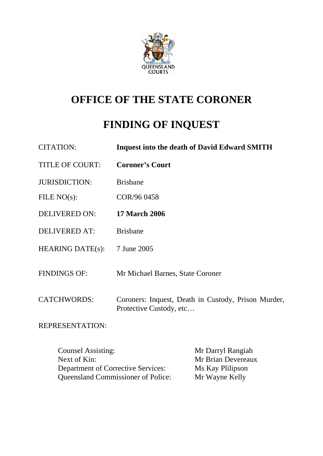

# **OFFICE OF THE STATE CORONER**

# **FINDING OF INQUEST**

| <b>CITATION:</b>        | <b>Inquest into the death of David Edward SMITH</b>                            |
|-------------------------|--------------------------------------------------------------------------------|
| <b>TITLE OF COURT:</b>  | <b>Coroner's Court</b>                                                         |
| <b>JURISDICTION:</b>    | <b>Brisbane</b>                                                                |
| FILE $NO(s)$ :          | COR/96 0458                                                                    |
| <b>DELIVERED ON:</b>    | <b>17 March 2006</b>                                                           |
| <b>DELIVERED AT:</b>    | <b>Brisbane</b>                                                                |
| <b>HEARING DATE(s):</b> | 7 June 2005                                                                    |
| <b>FINDINGS OF:</b>     | Mr Michael Barnes, State Coroner                                               |
| <b>CATCHWORDS:</b>      | Coroners: Inquest, Death in Custody, Prison Murder,<br>Protective Custody, etc |

REPRESENTATION:

Counsel Assisting: Mr Darryl Rangiah<br>
Next of Kin: Mr Brian Devereau Mr Brian Devereaux<br>Ms Kay Plilipson Department of Corrective Services: Queensland Commissioner of Police: Mr Wayne Kelly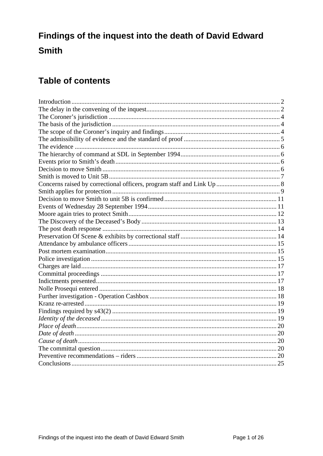# Findings of the inquest into the death of David Edward **Smith**

# **Table of contents**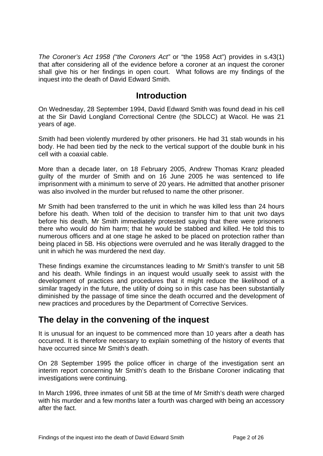<span id="page-2-0"></span>*The Coroner's Act 1958 ("the Coroners Act"* or "the 1958 Act") provides in s.43(1) that after considering all of the evidence before a coroner at an inquest the coroner shall give his or her findings in open court. What follows are my findings of the inquest into the death of David Edward Smith.

### **Introduction**

On Wednesday, 28 September 1994, David Edward Smith was found dead in his cell at the Sir David Longland Correctional Centre (the SDLCC) at Wacol. He was 21 years of age.

Smith had been violently murdered by other prisoners. He had 31 stab wounds in his body. He had been tied by the neck to the vertical support of the double bunk in his cell with a coaxial cable.

More than a decade later, on 18 February 2005, Andrew Thomas Kranz pleaded guilty of the murder of Smith and on 16 June 2005 he was sentenced to life imprisonment with a minimum to serve of 20 years. He admitted that another prisoner was also involved in the murder but refused to name the other prisoner.

Mr Smith had been transferred to the unit in which he was killed less than 24 hours before his death. When told of the decision to transfer him to that unit two days before his death, Mr Smith immediately protested saying that there were prisoners there who would do him harm; that he would be stabbed and killed. He told this to numerous officers and at one stage he asked to be placed on protection rather than being placed in 5B. His objections were overruled and he was literally dragged to the unit in which he was murdered the next day.

These findings examine the circumstances leading to Mr Smith's transfer to unit 5B and his death. While findings in an inquest would usually seek to assist with the development of practices and procedures that it might reduce the likelihood of a similar tragedy in the future, the utility of doing so in this case has been substantially diminished by the passage of time since the death occurred and the development of new practices and procedures by the Department of Corrective Services.

# **The delay in the convening of the inquest**

It is unusual for an inquest to be commenced more than 10 years after a death has occurred. It is therefore necessary to explain something of the history of events that have occurred since Mr Smith's death.

On 28 September 1995 the police officer in charge of the investigation sent an interim report concerning Mr Smith's death to the Brisbane Coroner indicating that investigations were continuing.

In March 1996, three inmates of unit 5B at the time of Mr Smith's death were charged with his murder and a few months later a fourth was charged with being an accessory after the fact.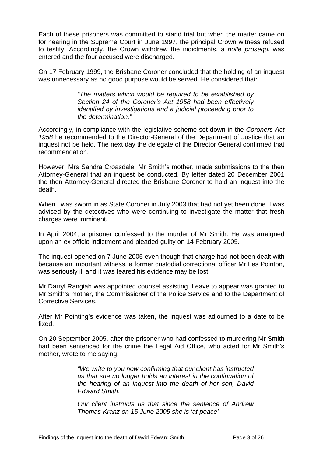Each of these prisoners was committed to stand trial but when the matter came on for hearing in the Supreme Court in June 1997, the principal Crown witness refused to testify. Accordingly, the Crown withdrew the indictments, a *nolle prosequi* was entered and the four accused were discharged.

On 17 February 1999, the Brisbane Coroner concluded that the holding of an inquest was unnecessary as no good purpose would be served. He considered that:

> *"The matters which would be required to be established by Section 24 of the Coroner's Act 1958 had been effectively identified by investigations and a judicial proceeding prior to the determination."*

Accordingly, in compliance with the legislative scheme set down in the *Coroners Act 1958* he recommended to the Director-General of the Department of Justice that an inquest not be held. The next day the delegate of the Director General confirmed that recommendation.

However, Mrs Sandra Croasdale, Mr Smith's mother, made submissions to the then Attorney-General that an inquest be conducted. By letter dated 20 December 2001 the then Attorney-General directed the Brisbane Coroner to hold an inquest into the death.

When I was sworn in as State Coroner in July 2003 that had not yet been done. I was advised by the detectives who were continuing to investigate the matter that fresh charges were imminent.

In April 2004, a prisoner confessed to the murder of Mr Smith. He was arraigned upon an ex officio indictment and pleaded guilty on 14 February 2005.

The inquest opened on 7 June 2005 even though that charge had not been dealt with because an important witness, a former custodial correctional officer Mr Les Pointon, was seriously ill and it was feared his evidence may be lost.

Mr Darryl Rangiah was appointed counsel assisting. Leave to appear was granted to Mr Smith's mother, the Commissioner of the Police Service and to the Department of Corrective Services.

After Mr Pointing's evidence was taken, the inquest was adjourned to a date to be fixed.

On 20 September 2005, after the prisoner who had confessed to murdering Mr Smith had been sentenced for the crime the Legal Aid Office, who acted for Mr Smith's mother, wrote to me saying:

> *"We write to you now confirming that our client has instructed us that she no longer holds an interest in the continuation of the hearing of an inquest into the death of her son, David Edward Smith.*

> *Our client instructs us that since the sentence of Andrew Thomas Kranz on 15 June 2005 she is 'at peace'.*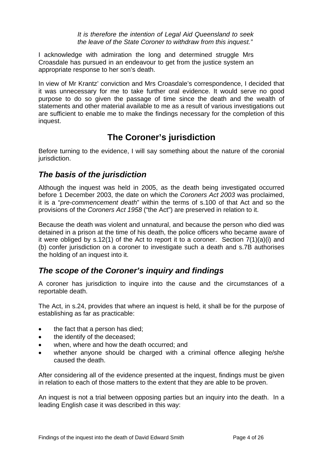*It is therefore the intention of Legal Aid Queensland to seek the leave of the State Coroner to withdraw from this inquest."* 

<span id="page-4-0"></span>I acknowledge with admiration the long and determined struggle Mrs Croasdale has pursued in an endeavour to get from the justice system an appropriate response to her son's death.

In view of Mr Krantz' conviction and Mrs Croasdale's correspondence, I decided that it was unnecessary for me to take further oral evidence. It would serve no good purpose to do so given the passage of time since the death and the wealth of statements and other material available to me as a result of various investigations out are sufficient to enable me to make the findings necessary for the completion of this inquest.

# **The Coroner's jurisdiction**

Before turning to the evidence, I will say something about the nature of the coronial jurisdiction.

# *The basis of the jurisdiction*

Although the inquest was held in 2005, as the death being investigated occurred before 1 December 2003, the date on which the *Coroners Act 2003* was proclaimed, it is a "*pre-commencement death*" within the terms of s.100 of that Act and so the provisions of the *Coroners Act 1958* ("the Act") are preserved in relation to it.

Because the death was violent and unnatural, and because the person who died was detained in a prison at the time of his death, the police officers who became aware of it were obliged by s.12(1) of the Act to report it to a coroner. Section 7(1)(a)(i) and (b) confer jurisdiction on a coroner to investigate such a death and s.7B authorises the holding of an inquest into it.

# *The scope of the Coroner's inquiry and findings*

A coroner has jurisdiction to inquire into the cause and the circumstances of a reportable death.

The Act, in s.24, provides that where an inquest is held, it shall be for the purpose of establishing as far as practicable:

- the fact that a person has died;
- the identify of the deceased;
- when, where and how the death occurred; and
- whether anyone should be charged with a criminal offence alleging he/she caused the death.

After considering all of the evidence presented at the inquest, findings must be given in relation to each of those matters to the extent that they are able to be proven.

An inquest is not a trial between opposing parties but an inquiry into the death. In a leading English case it was described in this way: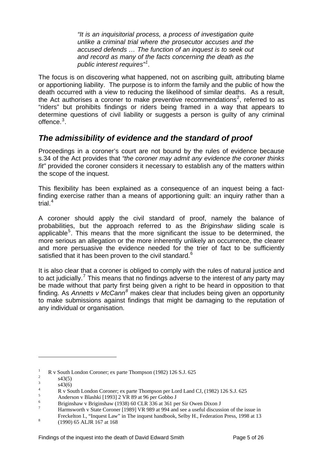*"It is an inquisitorial process, a process of investigation quite unlike a criminal trial where the prosecutor accuses and the accused defends … The function of an inquest is to seek out and record as many of the facts concerning the death as the public interest requires"[1](#page-5-1) .* 

<span id="page-5-0"></span>The focus is on discovering what happened, not on ascribing guilt, attributing blame or apportioning liability. The purpose is to inform the family and the public of how the death occurred with a view to reducing the likelihood of similar deaths. As a result, the Act authorises a coroner to make preventive recommendations<sup>[2](#page-5-2)</sup>, referred to as "riders" but prohibits findings or riders being framed in a way that appears to determine questions of civil liability or suggests a person is guilty of any criminal offence.<sup>[3](#page-5-3)</sup>.

# *The admissibility of evidence and the standard of proof*

Proceedings in a coroner's court are not bound by the rules of evidence because s.34 of the Act provides that *"the coroner may admit any evidence the coroner thinks fit"* provided the coroner considers it necessary to establish any of the matters within the scope of the inquest.

This flexibility has been explained as a consequence of an inquest being a factfinding exercise rather than a means of apportioning guilt: an inquiry rather than a trial<sup>[4](#page-5-4)</sup>

A coroner should apply the civil standard of proof, namely the balance of probabilities, but the approach referred to as the *Briginshaw* sliding scale is applicable<sup>[5](#page-5-5)</sup>. This means that the more significant the issue to be determined, the more serious an allegation or the more inherently unlikely an occurrence, the clearer and more persuasive the evidence needed for the trier of fact to be sufficiently satisfied that it has been proven to the civil standard.<sup>[6](#page-5-6)</sup>

It is also clear that a coroner is obliged to comply with the rules of natural justice and to act judicially.<sup>[7](#page-5-7)</sup> This means that no findings adverse to the interest of any party may be made without that party first being given a right to be heard in opposition to that finding. As Annetts v McCann<sup>[8](#page-5-8)</sup> makes clear that includes being given an opportunity to make submissions against findings that might be damaging to the reputation of any individual or organisation.

<u>.</u>

<span id="page-5-1"></span><sup>1</sup> R v South London Coroner; ex parte Thompson (1982) 126 S.J. 625

<span id="page-5-2"></span><sup>2</sup> s43(5) 3

s43(6)

<span id="page-5-4"></span><span id="page-5-3"></span><sup>4</sup> R v South London Coroner; ex parte Thompson per Lord Land CJ, (1982) 126 S.J. 625

<span id="page-5-5"></span><sup>5</sup> Anderson v Blashki [1993] 2 VR 89 at 96 per Gobbo J

<span id="page-5-6"></span><sup>6</sup> Briginshaw v Briginshaw (1938) 60 CLR 336 at 361 per Sir Owen Dixon J

<span id="page-5-7"></span><sup>7</sup> Harmsworth v State Coroner [1989] VR 989 at 994 and see a useful discussion of the issue in Freckelton I., "Inquest Law" in The inquest handbook, Selby H., Federation Press, 1998 at 13

<span id="page-5-8"></span> <sup>(1990) 65</sup> ALJR 167 at 168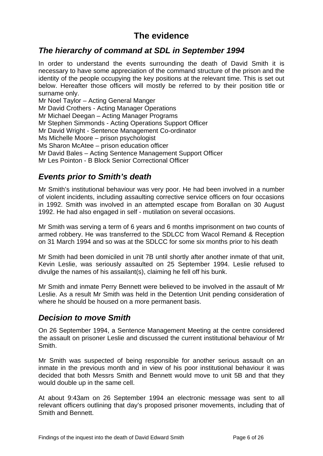# **The evidence**

### <span id="page-6-0"></span>*The hierarchy of command at SDL in September 1994*

In order to understand the events surrounding the death of David Smith it is necessary to have some appreciation of the command structure of the prison and the identity of the people occupying the key positions at the relevant time. This is set out below. Hereafter those officers will mostly be referred to by their position title or surname only.

Mr Noel Taylor – Acting General Manger Mr David Crothers - Acting Manager Operations Mr Michael Deegan – Acting Manager Programs Mr Stephen Simmonds - Acting Operations Support Officer Mr David Wright - Sentence Management Co-ordinator Ms Michelle Moore – prison psychologist Ms Sharon McAtee – prison education officer Mr David Bales – Acting Sentence Management Support Officer Mr Les Pointon - B Block Senior Correctional Officer

### *Events prior to Smith's death*

Mr Smith's institutional behaviour was very poor. He had been involved in a number of violent incidents, including assaulting corrective service officers on four occasions in 1992. Smith was involved in an attempted escape from Borallan on 30 August 1992. He had also engaged in self - mutilation on several occasions.

Mr Smith was serving a term of 6 years and 6 months imprisonment on two counts of armed robbery. He was transferred to the SDLCC from Wacol Remand & Reception on 31 March 1994 and so was at the SDLCC for some six months prior to his death

Mr Smith had been domiciled in unit 7B until shortly after another inmate of that unit, Kevin Leslie, was seriously assaulted on 25 September 1994. Leslie refused to divulge the names of his assailant(s), claiming he fell off his bunk.

Mr Smith and inmate Perry Bennett were believed to be involved in the assault of Mr Leslie. As a result Mr Smith was held in the Detention Unit pending consideration of where he should be housed on a more permanent basis.

#### *Decision to move Smith*

On 26 September 1994, a Sentence Management Meeting at the centre considered the assault on prisoner Leslie and discussed the current institutional behaviour of Mr Smith.

Mr Smith was suspected of being responsible for another serious assault on an inmate in the previous month and in view of his poor institutional behaviour it was decided that both Messrs Smith and Bennett would move to unit 5B and that they would double up in the same cell.

At about 9:43am on 26 September 1994 an electronic message was sent to all relevant officers outlining that day's proposed prisoner movements, including that of Smith and Bennett.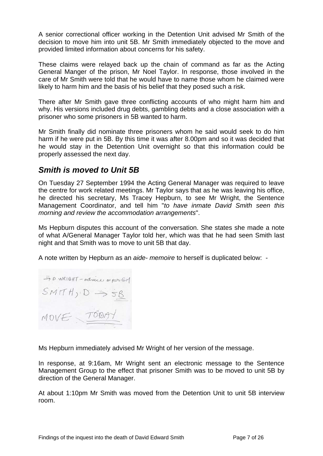<span id="page-7-0"></span>A senior correctional officer working in the Detention Unit advised Mr Smith of the decision to move him into unit 5B. Mr Smith immediately objected to the move and provided limited information about concerns for his safety.

These claims were relayed back up the chain of command as far as the Acting General Manger of the prison, Mr Noel Taylor. In response, those involved in the care of Mr Smith were told that he would have to name those whom he claimed were likely to harm him and the basis of his belief that they posed such a risk.

There after Mr Smith gave three conflicting accounts of who might harm him and why. His versions included drug debts, gambling debts and a close association with a prisoner who some prisoners in 5B wanted to harm.

Mr Smith finally did nominate three prisoners whom he said would seek to do him harm if he were put in 5B. By this time it was after 8.00pm and so it was decided that he would stay in the Detention Unit overnight so that this information could be properly assessed the next day.

# *Smith is moved to Unit 5B*

On Tuesday 27 September 1994 the Acting General Manager was required to leave the centre for work related meetings. Mr Taylor says that as he was leaving his office, he directed his secretary, Ms Tracey Hepburn, to see Mr Wright, the Sentence Management Coordinator, and tell him "*to have inmate David Smith seen this morning and review the accommodation arrangements*".

Ms Hepburn disputes this account of the conversation. She states she made a note of what A/General Manager Taylor told her, which was that he had seen Smith last night and that Smith was to move to unit 5B that day.

A note written by Hepburn as an *aide- memoire* to herself is duplicated below: -

-> D WRIGHT - adresse as Ren GM  $SMITH, D \rightarrow SB$ MOVE TODAY

Ms Hepburn immediately advised Mr Wright of her version of the message.

In response, at 9:16am, Mr Wright sent an electronic message to the Sentence Management Group to the effect that prisoner Smith was to be moved to unit 5B by direction of the General Manager.

At about 1:10pm Mr Smith was moved from the Detention Unit to unit 5B interview room.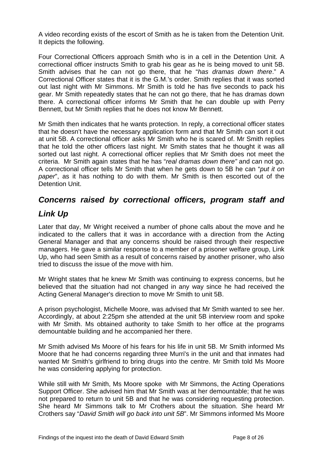<span id="page-8-0"></span>A video recording exists of the escort of Smith as he is taken from the Detention Unit. It depicts the following.

Four Correctional Officers approach Smith who is in a cell in the Detention Unit. A correctional officer instructs Smith to grab his gear as he is being moved to unit 5B. Smith advises that he can not go there, that he "*has dramas down there*." A Correctional Officer states that it is the G.M.'s order. Smith replies that it was sorted out last night with Mr Simmons. Mr Smith is told he has five seconds to pack his gear. Mr Smith repeatedly states that he can not go there, that he has dramas down there. A correctional officer informs Mr Smith that he can double up with Perry Bennett, but Mr Smith replies that he does not know Mr Bennett.

Mr Smith then indicates that he wants protection. In reply, a correctional officer states that he doesn't have the necessary application form and that Mr Smith can sort it out at unit 5B. A correctional officer asks Mr Smith who he is scared of. Mr Smith replies that he told the other officers last night. Mr Smith states that he thought it was all sorted out last night. A correctional officer replies that Mr Smith does not meet the criteria. Mr Smith again states that he has "*real dramas down there"* and can not go. A correctional officer tells Mr Smith that when he gets down to 5B he can "*put it on paper*", as it has nothing to do with them. Mr Smith is then escorted out of the Detention Unit.

# *Concerns raised by correctional officers, program staff and*

# *Link Up*

Later that day, Mr Wright received a number of phone calls about the move and he indicated to the callers that it was in accordance with a direction from the Acting General Manager and that any concerns should be raised through their respective managers. He gave a similar response to a member of a prisoner welfare group, Link Up, who had seen Smith as a result of concerns raised by another prisoner, who also tried to discuss the issue of the move with him.

Mr Wright states that he knew Mr Smith was continuing to express concerns, but he believed that the situation had not changed in any way since he had received the Acting General Manager's direction to move Mr Smith to unit 5B.

A prison psychologist, Michelle Moore, was advised that Mr Smith wanted to see her. Accordingly, at about 2:25pm she attended at the unit 5B interview room and spoke with Mr Smith. Ms obtained authority to take Smith to her office at the programs demountable building and he accompanied her there.

Mr Smith advised Ms Moore of his fears for his life in unit 5B. Mr Smith informed Ms Moore that he had concerns regarding three Murri's in the unit and that inmates had wanted Mr Smith's girlfriend to bring drugs into the centre. Mr Smith told Ms Moore he was considering applying for protection.

While still with Mr Smith, Ms Moore spoke with Mr Simmons, the Acting Operations Support Officer. She advised him that Mr Smith was at her demountable; that he was not prepared to return to unit 5B and that he was considering requesting protection. She heard Mr Simmons talk to Mr Crothers about the situation. She heard Mr Crothers say "*David Smith will go back into unit 5B*". Mr Simmons informed Ms Moore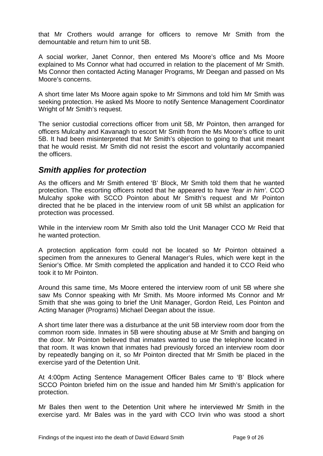<span id="page-9-0"></span>that Mr Crothers would arrange for officers to remove Mr Smith from the demountable and return him to unit 5B.

A social worker, Janet Connor, then entered Ms Moore's office and Ms Moore explained to Ms Connor what had occurred in relation to the placement of Mr Smith. Ms Connor then contacted Acting Manager Programs, Mr Deegan and passed on Ms Moore's concerns.

A short time later Ms Moore again spoke to Mr Simmons and told him Mr Smith was seeking protection. He asked Ms Moore to notify Sentence Management Coordinator Wright of Mr Smith's request.

The senior custodial corrections officer from unit 5B, Mr Pointon, then arranged for officers Mulcahy and Kavanagh to escort Mr Smith from the Ms Moore's office to unit 5B. It had been misinterpreted that Mr Smith's objection to going to that unit meant that he would resist. Mr Smith did not resist the escort and voluntarily accompanied the officers.

### *Smith applies for protection*

As the officers and Mr Smith entered 'B' Block, Mr Smith told them that he wanted protection. The escorting officers noted that he appeared to have '*fear in him'*. CCO Mulcahy spoke with SCCO Pointon about Mr Smith's request and Mr Pointon directed that he be placed in the interview room of unit 5B whilst an application for protection was processed.

While in the interview room Mr Smith also told the Unit Manager CCO Mr Reid that he wanted protection.

A protection application form could not be located so Mr Pointon obtained a specimen from the annexures to General Manager's Rules, which were kept in the Senior's Office. Mr Smith completed the application and handed it to CCO Reid who took it to Mr Pointon.

Around this same time, Ms Moore entered the interview room of unit 5B where she saw Ms Connor speaking with Mr Smith. Ms Moore informed Ms Connor and Mr Smith that she was going to brief the Unit Manager, Gordon Reid, Les Pointon and Acting Manager (Programs) Michael Deegan about the issue.

A short time later there was a disturbance at the unit 5B interview room door from the common room side. Inmates in 5B were shouting abuse at Mr Smith and banging on the door. Mr Pointon believed that inmates wanted to use the telephone located in that room. It was known that inmates had previously forced an interview room door by repeatedly banging on it, so Mr Pointon directed that Mr Smith be placed in the exercise yard of the Detention Unit.

At 4:00pm Acting Sentence Management Officer Bales came to 'B' Block where SCCO Pointon briefed him on the issue and handed him Mr Smith's application for protection.

Mr Bales then went to the Detention Unit where he interviewed Mr Smith in the exercise yard. Mr Bales was in the yard with CCO Irvin who was stood a short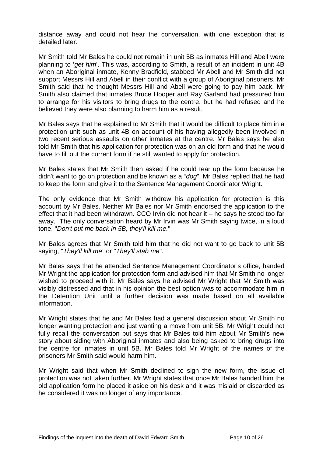distance away and could not hear the conversation, with one exception that is detailed later.

Mr Smith told Mr Bales he could not remain in unit 5B as inmates Hill and Abell were planning to '*get him*'. This was, according to Smith, a result of an incident in unit 4B when an Aboriginal inmate, Kenny Bradfield, stabbed Mr Abell and Mr Smith did not support Messrs Hill and Abell in their conflict with a group of Aboriginal prisoners. Mr Smith said that he thought Messrs Hill and Abell were going to pay him back. Mr Smith also claimed that inmates Bruce Hooper and Ray Garland had pressured him to arrange for his visitors to bring drugs to the centre, but he had refused and he believed they were also planning to harm him as a result.

Mr Bales says that he explained to Mr Smith that it would be difficult to place him in a protection unit such as unit 4B on account of his having allegedly been involved in two recent serious assaults on other inmates at the centre. Mr Bales says he also told Mr Smith that his application for protection was on an old form and that he would have to fill out the current form if he still wanted to apply for protection.

Mr Bales states that Mr Smith then asked if he could tear up the form because he didn't want to go on protection and be known as a "*dog*". Mr Bales replied that he had to keep the form and give it to the Sentence Management Coordinator Wright.

The only evidence that Mr Smith withdrew his application for protection is this account by Mr Bales. Neither Mr Bales nor Mr Smith endorsed the application to the effect that it had been withdrawn. CCO Irvin did not hear it – he says he stood too far away. The only conversation heard by Mr Irvin was Mr Smith saying twice, in a loud tone, "*Don't put me back in 5B, they'll kill me.*"

Mr Bales agrees that Mr Smith told him that he did not want to go back to unit 5B saying, "*They'll kill me"* or "*They'll stab me*".

Mr Bales says that he attended Sentence Management Coordinator's office, handed Mr Wright the application for protection form and advised him that Mr Smith no longer wished to proceed with it. Mr Bales says he advised Mr Wright that Mr Smith was visibly distressed and that in his opinion the best option was to accommodate him in the Detention Unit until a further decision was made based on all available information.

Mr Wright states that he and Mr Bales had a general discussion about Mr Smith no longer wanting protection and just wanting a move from unit 5B. Mr Wright could not fully recall the conversation but says that Mr Bales told him about Mr Smith's new story about siding with Aboriginal inmates and also being asked to bring drugs into the centre for inmates in unit 5B. Mr Bales told Mr Wright of the names of the prisoners Mr Smith said would harm him.

Mr Wright said that when Mr Smith declined to sign the new form, the issue of protection was not taken further. Mr Wright states that once Mr Bales handed him the old application form he placed it aside on his desk and it was mislaid or discarded as he considered it was no longer of any importance.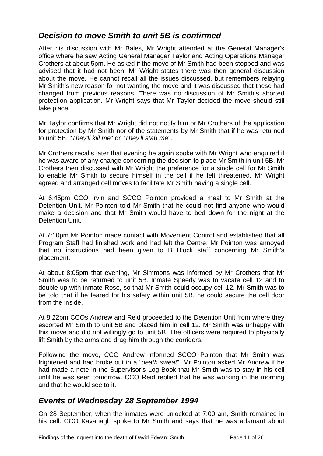# <span id="page-11-0"></span>*Decision to move Smith to unit 5B is confirmed*

After his discussion with Mr Bales, Mr Wright attended at the General Manager's office where he saw Acting General Manager Taylor and Acting Operations Manager Crothers at about 5pm. He asked if the move of Mr Smith had been stopped and was advised that it had not been. Mr Wright states there was then general discussion about the move. He cannot recall all the issues discussed, but remembers relaying Mr Smith's new reason for not wanting the move and it was discussed that these had changed from previous reasons. There was no discussion of Mr Smith's aborted protection application. Mr Wright says that Mr Taylor decided the move should still take place.

Mr Taylor confirms that Mr Wright did not notify him or Mr Crothers of the application for protection by Mr Smith nor of the statements by Mr Smith that if he was returned to unit 5B, "*They'll kill me*" or "*They'll stab me*".

Mr Crothers recalls later that evening he again spoke with Mr Wright who enquired if he was aware of any change concerning the decision to place Mr Smith in unit 5B. Mr Crothers then discussed with Mr Wright the preference for a single cell for Mr Smith to enable Mr Smith to secure himself in the cell if he felt threatened. Mr Wright agreed and arranged cell moves to facilitate Mr Smith having a single cell.

At 6:45pm CCO Irvin and SCCO Pointon provided a meal to Mr Smith at the Detention Unit. Mr Pointon told Mr Smith that he could not find anyone who would make a decision and that Mr Smith would have to bed down for the night at the Detention Unit.

At 7:10pm Mr Pointon made contact with Movement Control and established that all Program Staff had finished work and had left the Centre. Mr Pointon was annoyed that no instructions had been given to B Block staff concerning Mr Smith's placement.

At about 8:05pm that evening, Mr Simmons was informed by Mr Crothers that Mr Smith was to be returned to unit 5B. Inmate Speedy was to vacate cell 12 and to double up with inmate Rose, so that Mr Smith could occupy cell 12. Mr Smith was to be told that if he feared for his safety within unit 5B, he could secure the cell door from the inside.

At 8:22pm CCOs Andrew and Reid proceeded to the Detention Unit from where they escorted Mr Smith to unit 5B and placed him in cell 12. Mr Smith was unhappy with this move and did not willingly go to unit 5B. The officers were required to physically lift Smith by the arms and drag him through the corridors.

Following the move, CCO Andrew informed SCCO Pointon that Mr Smith was frightened and had broke out in a "*death sweat*". Mr Pointon asked Mr Andrew if he had made a note in the Supervisor's Log Book that Mr Smith was to stay in his cell until he was seen tomorrow. CCO Reid replied that he was working in the morning and that he would see to it.

# *Events of Wednesday 28 September 1994*

On 28 September, when the inmates were unlocked at 7:00 am, Smith remained in his cell. CCO Kavanagh spoke to Mr Smith and says that he was adamant about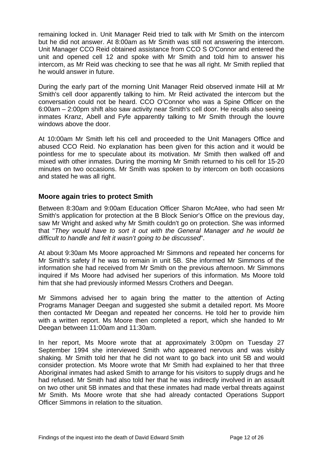<span id="page-12-0"></span>remaining locked in. Unit Manager Reid tried to talk with Mr Smith on the intercom but he did not answer. At 8:00am as Mr Smith was still not answering the intercom. Unit Manager CCO Reid obtained assistance from CCO S O'Connor and entered the unit and opened cell 12 and spoke with Mr Smith and told him to answer his intercom, as Mr Reid was checking to see that he was all right. Mr Smith replied that he would answer in future.

During the early part of the morning Unit Manager Reid observed inmate Hill at Mr Smith's cell door apparently talking to him. Mr Reid activated the intercom but the conversation could not be heard. CCO O'Connor who was a Spine Officer on the 6:00am – 2:00pm shift also saw activity near Smith's cell door. He recalls also seeing inmates Kranz, Abell and Fyfe apparently talking to Mr Smith through the louvre windows above the door.

At 10:00am Mr Smith left his cell and proceeded to the Unit Managers Office and abused CCO Reid. No explanation has been given for this action and it would be pointless for me to speculate about its motivation. Mr Smith then walked off and mixed with other inmates. During the morning Mr Smith returned to his cell for 15-20 minutes on two occasions. Mr Smith was spoken to by intercom on both occasions and stated he was all right.

#### **Moore again tries to protect Smith**

Between 8:30am and 9:00am Education Officer Sharon McAtee, who had seen Mr Smith's application for protection at the B Block Senior's Office on the previous day, saw Mr Wright and asked why Mr Smith couldn't go on protection. She was informed that "*They would have to sort it out with the General Manager and he would be difficult to handle and felt it wasn't going to be discussed*".

At about 9:30am Ms Moore approached Mr Simmons and repeated her concerns for Mr Smith's safety if he was to remain in unit 5B. She informed Mr Simmons of the information she had received from Mr Smith on the previous afternoon. Mr Simmons inquired if Ms Moore had advised her superiors of this information. Ms Moore told him that she had previously informed Messrs Crothers and Deegan.

Mr Simmons advised her to again bring the matter to the attention of Acting Programs Manager Deegan and suggested she submit a detailed report. Ms Moore then contacted Mr Deegan and repeated her concerns. He told her to provide him with a written report. Ms Moore then completed a report, which she handed to Mr Deegan between 11:00am and 11:30am.

In her report, Ms Moore wrote that at approximately 3:00pm on Tuesday 27 September 1994 she interviewed Smith who appeared nervous and was visibly shaking. Mr Smith told her that he did not want to go back into unit 5B and would consider protection. Ms Moore wrote that Mr Smith had explained to her that three Aboriginal inmates had asked Smith to arrange for his visitors to supply drugs and he had refused. Mr Smith had also told her that he was indirectly involved in an assault on two other unit 5B inmates and that these inmates had made verbal threats against Mr Smith. Ms Moore wrote that she had already contacted Operations Support Officer Simmons in relation to the situation.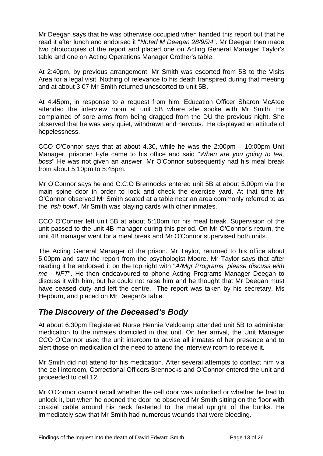<span id="page-13-0"></span>Mr Deegan says that he was otherwise occupied when handed this report but that he read it after lunch and endorsed it "*Noted M Deegan 28/9/94*". Mr Deegan then made two photocopies of the report and placed one on Acting General Manager Taylor's table and one on Acting Operations Manager Crother's table.

At 2:40pm, by previous arrangement, Mr Smith was escorted from 5B to the Visits Area for a legal visit. Nothing of relevance to his death transpired during that meeting and at about 3.07 Mr Smith returned unescorted to unit 5B.

At 4:45pm, in response to a request from him, Education Officer Sharon McAtee attended the interview room at unit 5B where she spoke with Mr Smith. He complained of sore arms from being dragged from the DU the previous night. She observed that he was very quiet, withdrawn and nervous. He displayed an attitude of hopelessness.

CCO O'Connor says that at about 4.30, while he was the 2:00pm – 10:00pm Unit Manager, prisoner Fyfe came to his office and said "*When are you going to tea, boss*" He was not given an answer. Mr O'Connor subsequently had his meal break from about 5:10pm to 5:45pm.

Mr O'Connor says he and C.C.O Brennocks entered unit 5B at about 5.00pm via the main spine door in order to lock and check the exercise yard. At that time Mr O'Connor observed Mr Smith seated at a table near an area commonly referred to as the '*fish bowl*'. Mr Smith was playing cards with other inmates.

CCO O'Conner left unit 5B at about 5:10pm for his meal break. Supervision of the unit passed to the unit 4B manager during this period. On Mr O'Connor's return, the unit 4B manager went for a meal break and Mr O'Connor supervised both units.

The Acting General Manager of the prison. Mr Taylor, returned to his office about 5:00pm and saw the report from the psychologist Moore. Mr Taylor says that after reading it he endorsed it on the top right with "*A/Mgr Programs, please discuss with me - NFT*". He then endeavoured to phone Acting Programs Manager Deegan to discuss it with him, but he could not raise him and he thought that Mr Deegan must have ceased duty and left the centre. The report was taken by his secretary, Ms Hepburn, and placed on Mr Deegan's table.

# *The Discovery of the Deceased's Body*

At about 6.30pm Registered Nurse Hennie Veldcamp attended unit 5B to administer medication to the inmates domiciled in that unit. On her arrival, the Unit Manager CCO O'Connor used the unit intercom to advise all inmates of her presence and to alert those on medication of the need to attend the interview room to receive it.

Mr Smith did not attend for his medication. After several attempts to contact him via the cell intercom, Correctional Officers Brennocks and O'Connor entered the unit and proceeded to cell 12.

Mr O'Connor cannot recall whether the cell door was unlocked or whether he had to unlock it, but when he opened the door he observed Mr Smith sitting on the floor with coaxial cable around his neck fastened to the metal upright of the bunks. He immediately saw that Mr Smith had numerous wounds that were bleeding.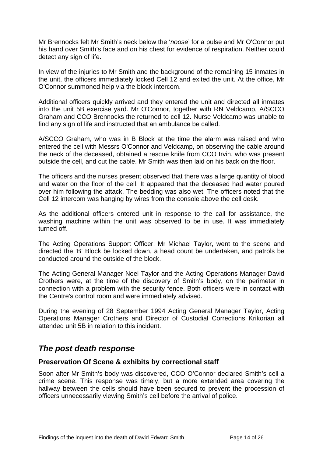<span id="page-14-0"></span>Mr Brennocks felt Mr Smith's neck below the '*noose*' for a pulse and Mr O'Connor put his hand over Smith's face and on his chest for evidence of respiration. Neither could detect any sign of life.

In view of the injuries to Mr Smith and the background of the remaining 15 inmates in the unit, the officers immediately locked Cell 12 and exited the unit. At the office, Mr O'Connor summoned help via the block intercom.

Additional officers quickly arrived and they entered the unit and directed all inmates into the unit 5B exercise yard. Mr O'Connor, together with RN Veldcamp, A/SCCO Graham and CCO Brennocks the returned to cell 12. Nurse Veldcamp was unable to find any sign of life and instructed that an ambulance be called.

A/SCCO Graham, who was in B Block at the time the alarm was raised and who entered the cell with Messrs O'Connor and Veldcamp, on observing the cable around the neck of the deceased, obtained a rescue knife from CCO Irvin, who was present outside the cell, and cut the cable. Mr Smith was then laid on his back on the floor.

The officers and the nurses present observed that there was a large quantity of blood and water on the floor of the cell. It appeared that the deceased had water poured over him following the attack. The bedding was also wet. The officers noted that the Cell 12 intercom was hanging by wires from the console above the cell desk.

As the additional officers entered unit in response to the call for assistance, the washing machine within the unit was observed to be in use. It was immediately turned off.

The Acting Operations Support Officer, Mr Michael Taylor, went to the scene and directed the 'B' Block be locked down, a head count be undertaken, and patrols be conducted around the outside of the block.

The Acting General Manager Noel Taylor and the Acting Operations Manager David Crothers were, at the time of the discovery of Smith's body, on the perimeter in connection with a problem with the security fence. Both officers were in contact with the Centre's control room and were immediately advised.

During the evening of 28 September 1994 Acting General Manager Taylor, Acting Operations Manager Crothers and Director of Custodial Corrections Krikorian all attended unit 5B in relation to this incident.

### *The post death response*

#### **Preservation Of Scene & exhibits by correctional staff**

Soon after Mr Smith's body was discovered, CCO O'Connor declared Smith's cell a crime scene. This response was timely, but a more extended area covering the hallway between the cells should have been secured to prevent the procession of officers unnecessarily viewing Smith's cell before the arrival of police.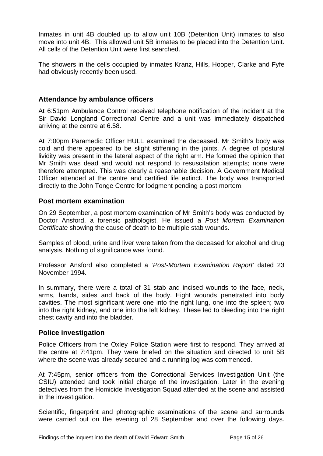<span id="page-15-0"></span>Inmates in unit 4B doubled up to allow unit 10B (Detention Unit) inmates to also move into unit 4B. This allowed unit 5B inmates to be placed into the Detention Unit. All cells of the Detention Unit were first searched.

The showers in the cells occupied by inmates Kranz, Hills, Hooper, Clarke and Fyfe had obviously recently been used.

#### **Attendance by ambulance officers**

At 6:51pm Ambulance Control received telephone notification of the incident at the Sir David Longland Correctional Centre and a unit was immediately dispatched arriving at the centre at 6.58.

At 7:00pm Paramedic Officer HULL examined the deceased. Mr Smith's body was cold and there appeared to be slight stiffening in the joints. A degree of postural lividity was present in the lateral aspect of the right arm. He formed the opinion that Mr Smith was dead and would not respond to resuscitation attempts; none were therefore attempted. This was clearly a reasonable decision. A Government Medical Officer attended at the centre and certified life extinct. The body was transported directly to the John Tonge Centre for lodgment pending a post mortem.

#### **Post mortem examination**

On 29 September, a post mortem examination of Mr Smith's body was conducted by Doctor Ansford, a forensic pathologist. He issued a *Post Mortem Examination Certificate* showing the cause of death to be multiple stab wounds.

Samples of blood, urine and liver were taken from the deceased for alcohol and drug analysis. Nothing of significance was found.

Professor Ansford also completed a '*Post-Mortem Examination Report*' dated 23 November 1994.

In summary, there were a total of 31 stab and incised wounds to the face, neck, arms, hands, sides and back of the body. Eight wounds penetrated into body cavities. The most significant were one into the right lung, one into the spleen; two into the right kidney, and one into the left kidney. These led to bleeding into the right chest cavity and into the bladder.

#### **Police investigation**

Police Officers from the Oxley Police Station were first to respond. They arrived at the centre at 7:41pm. They were briefed on the situation and directed to unit 5B where the scene was already secured and a running log was commenced.

At 7:45pm, senior officers from the Correctional Services Investigation Unit (the CSIU) attended and took initial charge of the investigation. Later in the evening detectives from the Homicide Investigation Squad attended at the scene and assisted in the investigation.

Scientific, fingerprint and photographic examinations of the scene and surrounds were carried out on the evening of 28 September and over the following days.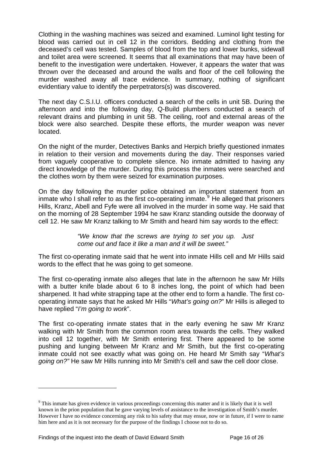Clothing in the washing machines was seized and examined. Luminol light testing for blood was carried out in cell 12 in the corridors. Bedding and clothing from the deceased's cell was tested. Samples of blood from the top and lower bunks, sidewall and toilet area were screened. It seems that all examinations that may have been of benefit to the investigation were undertaken. However, it appears the water that was thrown over the deceased and around the walls and floor of the cell following the murder washed away all trace evidence. In summary, nothing of significant evidentiary value to identify the perpetrators(s) was discovered.

The next day C.S.I.U. officers conducted a search of the cells in unit 5B. During the afternoon and into the following day, Q-Build plumbers conducted a search of relevant drains and plumbing in unit 5B. The ceiling, roof and external areas of the block were also searched. Despite these efforts, the murder weapon was never located.

On the night of the murder, Detectives Banks and Herpich briefly questioned inmates in relation to their version and movements during the day. Their responses varied from vaguely cooperative to complete silence. No inmate admitted to having any direct knowledge of the murder. During this process the inmates were searched and the clothes worn by them were seized for examination purposes.

On the day following the murder police obtained an important statement from an inmate who I shall refer to as the first co-operating inmate.<sup>[9](#page-16-0)</sup> He alleged that prisoners Hills, Kranz, Abell and Fyfe were all involved in the murder in some way. He said that on the morning of 28 September 1994 he saw Kranz standing outside the doorway of cell 12. He saw Mr Kranz talking to Mr Smith and heard him say words to the effect:

> *"We know that the screws are trying to set you up. Just come out and face it like a man and it will be sweet."*

The first co-operating inmate said that he went into inmate Hills cell and Mr Hills said words to the effect that he was going to get someone.

The first co-operating inmate also alleges that late in the afternoon he saw Mr Hills with a butter knife blade about 6 to 8 inches long, the point of which had been sharpened. It had white strapping tape at the other end to form a handle. The first cooperating inmate says that he asked Mr Hills "*What's going on?*" Mr Hills is alleged to have replied "*I'm going to work*".

The first co-operating inmate states that in the early evening he saw Mr Kranz walking with Mr Smith from the common room area towards the cells. They walked into cell 12 together, with Mr Smith entering first. There appeared to be some pushing and lunging between Mr Kranz and Mr Smith, but the first co-operating inmate could not see exactly what was going on. He heard Mr Smith say "*What's going on?"* He saw Mr Hills running into Mr Smith's cell and saw the cell door close.

<span id="page-16-0"></span><sup>&</sup>lt;sup>9</sup> This inmate has given evidence in various proceedings concerning this matter and it is likely that it is well known in the prion population that he gave varying levels of assistance to the investigation of Smith's murder. However I have no evidence concerning any risk to his safety that may ensue, now or in future, if I were to name him here and as it is not necessary for the purpose of the findings I choose not to do so.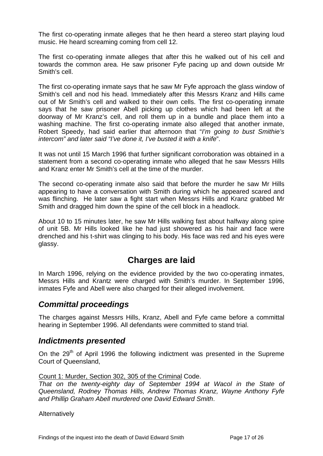<span id="page-17-0"></span>The first co-operating inmate alleges that he then heard a stereo start playing loud music. He heard screaming coming from cell 12.

The first co-operating inmate alleges that after this he walked out of his cell and towards the common area. He saw prisoner Fyfe pacing up and down outside Mr Smith's cell.

The first co-operating inmate says that he saw Mr Fyfe approach the glass window of Smith's cell and nod his head. Immediately after this Messrs Kranz and Hills came out of Mr Smith's cell and walked to their own cells. The first co-operating inmate says that he saw prisoner Abell picking up clothes which had been left at the doorway of Mr Kranz's cell, and roll them up in a bundle and place them into a washing machine. The first co-operating inmate also alleged that another inmate, Robert Speedy, had said earlier that afternoon that "*I'm going to bust Smithie's intercom" and later said "I've done it, I've busted it with a knife*".

It was not until 15 March 1996 that further significant corroboration was obtained in a statement from a second co-operating inmate who alleged that he saw Messrs Hills and Kranz enter Mr Smith's cell at the time of the murder.

The second co-operating inmate also said that before the murder he saw Mr Hills appearing to have a conversation with Smith during which he appeared scared and was flinching. He later saw a fight start when Messrs Hills and Kranz grabbed Mr Smith and dragged him down the spine of the cell block in a headlock.

About 10 to 15 minutes later, he saw Mr Hills walking fast about halfway along spine of unit 5B. Mr Hills looked like he had just showered as his hair and face were drenched and his t-shirt was clinging to his body. His face was red and his eyes were glassy.

# **Charges are laid**

In March 1996, relying on the evidence provided by the two co-operating inmates, Messrs Hills and Krantz were charged with Smith's murder. In September 1996, inmates Fyfe and Abell were also charged for their alleged involvement.

### *Committal proceedings*

The charges against Messrs Hills, Kranz, Abell and Fyfe came before a committal hearing in September 1996. All defendants were committed to stand trial.

#### *Indictments presented*

On the  $29<sup>th</sup>$  of April 1996 the following indictment was presented in the Supreme Court of Queensland,

Count 1: Murder, Section 302, 305 of the Criminal Code.

*That on the twenty-eighty day of September 1994 at Wacol in the State of Queensland, Rodney Thomas Hills, Andrew Thomas Kranz, Wayne Anthony Fyfe and Phillip Graham Abell murdered one David Edward Smith*.

**Alternatively**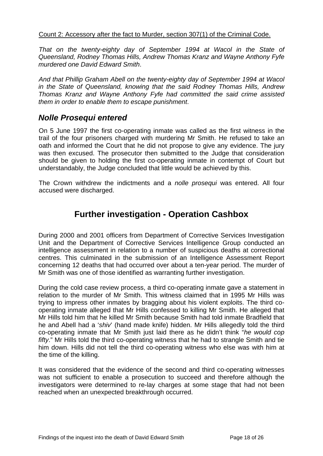#### <span id="page-18-0"></span>Count 2: Accessory after the fact to Murder, section 307(1) of the Criminal Code.

*That on the twenty-eighty day of September 1994 at Wacol in the State of Queensland, Rodney Thomas Hills, Andrew Thomas Kranz and Wayne Anthony Fyfe murdered one David Edward Smith*.

*And that Phillip Graham Abell on the twenty-eighty day of September 1994 at Wacol in the State of Queensland, knowing that the said Rodney Thomas Hills, Andrew Thomas Kranz and Wayne Anthony Fyfe had committed the said crime assisted them in order to enable them to escape punishment*.

### *Nolle Prosequi entered*

On 5 June 1997 the first co-operating inmate was called as the first witness in the trail of the four prisoners charged with murdering Mr Smith. He refused to take an oath and informed the Court that he did not propose to give any evidence. The jury was then excused. The prosecutor then submitted to the Judge that consideration should be given to holding the first co-operating inmate in contempt of Court but understandably, the Judge concluded that little would be achieved by this.

The Crown withdrew the indictments and a *nolle prosequi* was entered. All four accused were discharged.

# **Further investigation - Operation Cashbox**

During 2000 and 2001 officers from Department of Corrective Services Investigation Unit and the Department of Corrective Services Intelligence Group conducted an intelligence assessment in relation to a number of suspicious deaths at correctional centres. This culminated in the submission of an Intelligence Assessment Report concerning 12 deaths that had occurred over about a ten-year period. The murder of Mr Smith was one of those identified as warranting further investigation.

During the cold case review process, a third co-operating inmate gave a statement in relation to the murder of Mr Smith. This witness claimed that in 1995 Mr Hills was trying to impress other inmates by bragging about his violent exploits. The third cooperating inmate alleged that Mr Hills confessed to killing Mr Smith. He alleged that Mr Hills told him that he killed Mr Smith because Smith had told inmate Bradfield that he and Abell had a '*shiv*' (hand made knife) hidden. Mr Hills allegedly told the third co-operating inmate that Mr Smith just laid there as he didn't think "*he would cop fifty*." Mr Hills told the third co-operating witness that he had to strangle Smith and tie him down. Hills did not tell the third co-operating witness who else was with him at the time of the killing.

It was considered that the evidence of the second and third co-operating witnesses was not sufficient to enable a prosecution to succeed and therefore although the investigators were determined to re-lay charges at some stage that had not been reached when an unexpected breakthrough occurred.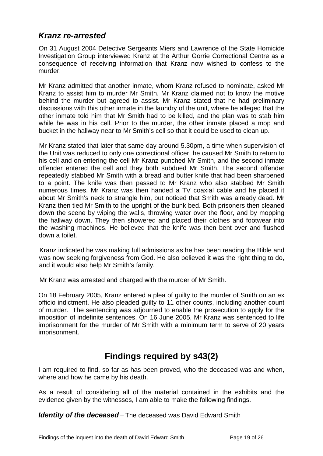### <span id="page-19-0"></span>*Kranz re-arrested*

On 31 August 2004 Detective Sergeants Miers and Lawrence of the State Homicide Investigation Group interviewed Kranz at the Arthur Gorrie Correctional Centre as a consequence of receiving information that Kranz now wished to confess to the murder.

Mr Kranz admitted that another inmate, whom Kranz refused to nominate, asked Mr Kranz to assist him to murder Mr Smith. Mr Kranz claimed not to know the motive behind the murder but agreed to assist. Mr Kranz stated that he had preliminary discussions with this other inmate in the laundry of the unit, where he alleged that the other inmate told him that Mr Smith had to be killed, and the plan was to stab him while he was in his cell. Prior to the murder, the other inmate placed a mop and bucket in the hallway near to Mr Smith's cell so that it could be used to clean up.

Mr Kranz stated that later that same day around 5.30pm, a time when supervision of the Unit was reduced to only one correctional officer, he caused Mr Smith to return to his cell and on entering the cell Mr Kranz punched Mr Smith, and the second inmate offender entered the cell and they both subdued Mr Smith. The second offender repeatedly stabbed Mr Smith with a bread and butter knife that had been sharpened to a point. The knife was then passed to Mr Kranz who also stabbed Mr Smith numerous times. Mr Kranz was then handed a TV coaxial cable and he placed it about Mr Smith's neck to strangle him, but noticed that Smith was already dead. Mr Kranz then tied Mr Smith to the upright of the bunk bed. Both prisoners then cleaned down the scene by wiping the walls, throwing water over the floor, and by mopping the hallway down. They then showered and placed their clothes and footwear into the washing machines. He believed that the knife was then bent over and flushed down a toilet.

Kranz indicated he was making full admissions as he has been reading the Bible and was now seeking forgiveness from God. He also believed it was the right thing to do. and it would also help Mr Smith's family.

Mr Kranz was arrested and charged with the murder of Mr Smith.

On 18 February 2005, Kranz entered a plea of guilty to the murder of Smith on an ex officio indictment. He also pleaded guilty to 11 other counts, including another count of murder. The sentencing was adjourned to enable the prosecution to apply for the imposition of indefinite sentences. On 16 June 2005, Mr Kranz was sentenced to life imprisonment for the murder of Mr Smith with a minimum term to serve of 20 years imprisonment.

# **Findings required by s43(2)**

I am required to find, so far as has been proved, who the deceased was and when, where and how he came by his death.

As a result of considering all of the material contained in the exhibits and the evidence given by the witnesses, I am able to make the following findings.

*Identity of the deceased* – The deceased was David Edward Smith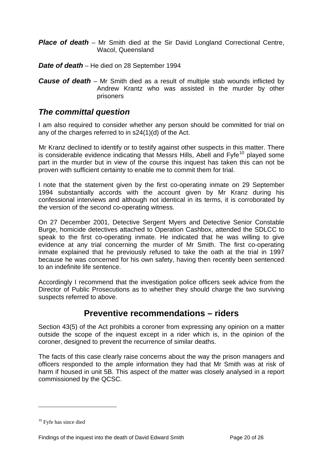<span id="page-20-0"></span>*Place of death* – Mr Smith died at the Sir David Longland Correctional Centre, Wacol, Queensland

*Date of death* – He died on 28 September 1994

*Cause of death* – Mr Smith died as a result of multiple stab wounds inflicted by Andrew Krantz who was assisted in the murder by other prisoners

### *The committal question*

I am also required to consider whether any person should be committed for trial on any of the charges referred to in s24(1)(d) of the Act.

Mr Kranz declined to identify or to testify against other suspects in this matter. There is considerable evidence indicating that Messrs Hills, Abell and  $Fyfe<sup>10</sup>$  $Fyfe<sup>10</sup>$  $Fyfe<sup>10</sup>$  played some part in the murder but in view of the course this inquest has taken this can not be proven with sufficient certainty to enable me to commit them for trial.

I note that the statement given by the first co-operating inmate on 29 September 1994 substantially accords with the account given by Mr Kranz during his confessional interviews and although not identical in its terms, it is corroborated by the version of the second co-operating witness.

On 27 December 2001, Detective Sergent Myers and Detective Senior Constable Burge, homicide detectives attached to Operation Cashbox, attended the SDLCC to speak to the first co-operating inmate. He indicated that he was willing to give evidence at any trial concerning the murder of Mr Smith. The first co-operating inmate explained that he previously refused to take the oath at the trial in 1997 because he was concerned for his own safety, having then recently been sentenced to an indefinite life sentence.

Accordingly I recommend that the investigation police officers seek advice from the Director of Public Prosecutions as to whether they should charge the two surviving suspects referred to above.

# **Preventive recommendations – riders**

Section 43(5) of the Act prohibits a coroner from expressing any opinion on a matter outside the scope of the inquest except in a rider which is, in the opinion of the coroner, designed to prevent the recurrence of similar deaths.

The facts of this case clearly raise concerns about the way the prison managers and officers responded to the ample information they had that Mr Smith was at risk of harm if housed in unit 5B. This aspect of the matter was closely analysed in a report commissioned by the QCSC.

<span id="page-20-1"></span><sup>10</sup> Fyfe has since died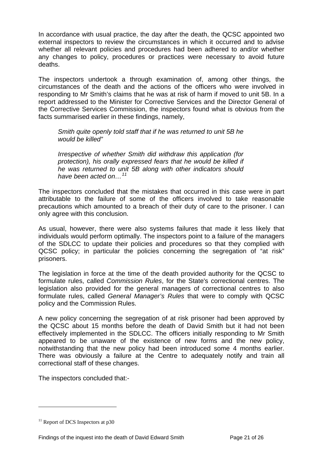In accordance with usual practice, the day after the death, the QCSC appointed two external inspectors to review the circumstances in which it occurred and to advise whether all relevant policies and procedures had been adhered to and/or whether any changes to policy, procedures or practices were necessary to avoid future deaths.

The inspectors undertook a through examination of, among other things, the circumstances of the death and the actions of the officers who were involved in responding to Mr Smith's claims that he was at risk of harm if moved to unit 5B. In a report addressed to the Minister for Corrective Services and the Director General of the Corrective Services Commission, the inspectors found what is obvious from the facts summarised earlier in these findings, namely,

 *Smith quite openly told staff that if he was returned to unit 5B he would be killed"* 

*Irrespective of whether Smith did withdraw this application (for protection), his orally expressed fears that he would be killed if he was returned to unit 5B along with other indicators should have been acted on…[11](#page-21-0)*

The inspectors concluded that the mistakes that occurred in this case were in part attributable to the failure of some of the officers involved to take reasonable precautions which amounted to a breach of their duty of care to the prisoner. I can only agree with this conclusion.

As usual, however, there were also systems failures that made it less likely that individuals would perform optimally. The inspectors point to a failure of the managers of the SDLCC to update their policies and procedures so that they complied with QCSC policy; in particular the policies concerning the segregation of "at risk" prisoners.

The legislation in force at the time of the death provided authority for the QCSC to formulate rules, called *Commission Rules*, for the State's correctional centres. The legislation also provided for the general managers of correctional centres to also formulate rules, called *General Manager's Rules* that were to comply with QCSC policy and the Commission Rules.

A new policy concerning the segregation of at risk prisoner had been approved by the QCSC about 15 months before the death of David Smith but it had not been effectively implemented in the SDLCC. The officers initially responding to Mr Smith appeared to be unaware of the existence of new forms and the new policy, notwithstanding that the new policy had been introduced some 4 months earlier. There was obviously a failure at the Centre to adequately notify and train all correctional staff of these changes.

The inspectors concluded that:-

<span id="page-21-0"></span> $11$  Report of DCS Inspectors at p30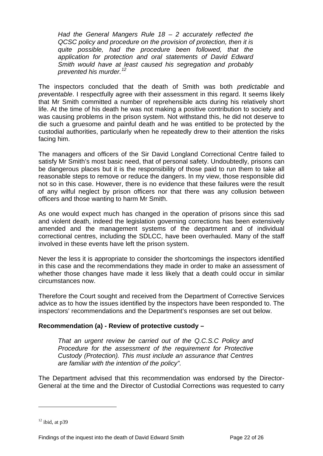*Had the General Mangers Rule 18 – 2 accurately reflected the QCSC policy and procedure on the provision of protection, then it is quite possible, had the procedure been followed, that the application for protection and oral statements of David Edward Smith would have at least caused his segregation and probably prevented his murder.[12](#page-22-0)*

The inspectors concluded that the death of Smith was both *predictable* and *preventable*. I respectfully agree with their assessment in this regard. It seems likely that Mr Smith committed a number of reprehensible acts during his relatively short life. At the time of his death he was not making a positive contribution to society and was causing problems in the prison system. Not withstand this, he did not deserve to die such a gruesome and painful death and he was entitled to be protected by the custodial authorities, particularly when he repeatedly drew to their attention the risks facing him.

The managers and officers of the Sir David Longland Correctional Centre failed to satisfy Mr Smith's most basic need, that of personal safety. Undoubtedly, prisons can be dangerous places but it is the responsibility of those paid to run them to take all reasonable steps to remove or reduce the dangers. In my view, those responsible did not so in this case. However, there is no evidence that these failures were the result of any wilful neglect by prison officers nor that there was any collusion between officers and those wanting to harm Mr Smith.

As one would expect much has changed in the operation of prisons since this sad and violent death, indeed the legislation governing corrections has been extensively amended and the management systems of the department and of individual correctional centres, including the SDLCC, have been overhauled. Many of the staff involved in these events have left the prison system.

Never the less it is appropriate to consider the shortcomings the inspectors identified in this case and the recommendations they made in order to make an assessment of whether those changes have made it less likely that a death could occur in similar circumstances now.

Therefore the Court sought and received from the Department of Corrective Services advice as to how the issues identified by the inspectors have been responded to. The inspectors' recommendations and the Department's responses are set out below.

#### **Recommendation (a) - Review of protective custody –**

*That an urgent review be carried out of the Q.C.S.C Policy and Procedure for the assessment of the requirement for Protective Custody (Protection). This must include an assurance that Centres are familiar with the intention of the policy".* 

The Department advised that this recommendation was endorsed by the Director-General at the time and the Director of Custodial Corrections was requested to carry

<span id="page-22-0"></span> $12$  ibid, at p39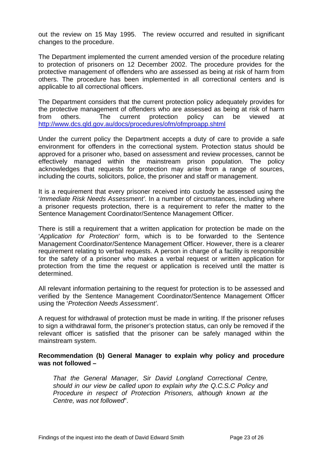out the review on 15 May 1995. The review occurred and resulted in significant changes to the procedure.

The Department implemented the current amended version of the procedure relating to protection of prisoners on 12 December 2002. The procedure provides for the protective management of offenders who are assessed as being at risk of harm from others. The procedure has been implemented in all correctional centers and is applicable to all correctional officers.

The Department considers that the current protection policy adequately provides for the protective management of offenders who are assessed as being at risk of harm from others. The current protection policy can be viewed at <http://www.dcs.qld.gov.au/docs/procedures/ofm/ofmproapp.shtml>

Under the current policy the Department accepts a duty of care to provide a safe environment for offenders in the correctional system. Protection status should be approved for a prisoner who, based on assessment and review processes, cannot be effectively managed within the mainstream prison population. The policy acknowledges that requests for protection may arise from a range of sources, including the courts, solicitors, police, the prisoner and staff or management.

It is a requirement that every prisoner received into custody be assessed using the '*Immediate Risk Needs Assessment'*. In a number of circumstances, including where a prisoner requests protection, there is a requirement to refer the matter to the Sentence Management Coordinator/Sentence Management Officer.

There is still a requirement that a written application for protection be made on the '*Application for Protection*' form, which is to be forwarded to the Sentence Management Coordinator/Sentence Management Officer. However, there is a clearer requirement relating to verbal requests. A person in charge of a facility is responsible for the safety of a prisoner who makes a verbal request or written application for protection from the time the request or application is received until the matter is determined.

All relevant information pertaining to the request for protection is to be assessed and verified by the Sentence Management Coordinator/Sentence Management Officer using the '*Protection Needs Assessment'*.

A request for withdrawal of protection must be made in writing. If the prisoner refuses to sign a withdrawal form, the prisoner's protection status, can only be removed if the relevant officer is satisfied that the prisoner can be safely managed within the mainstream system.

#### **Recommendation (b) General Manager to explain why policy and procedure was not followed –**

*That the General Manager, Sir David Longland Correctional Centre, should in our view be called upon to explain why the Q.C.S.C Policy and Procedure in respect of Protection Prisoners, although known at the Centre, was not followed*".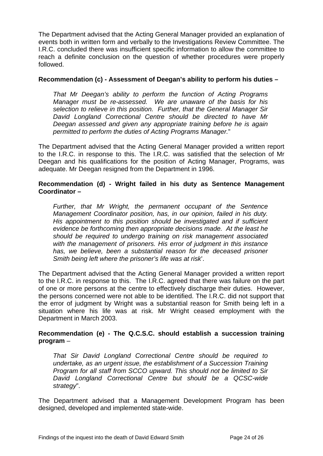The Department advised that the Acting General Manager provided an explanation of events both in written form and verbally to the Investigations Review Committee. The I.R.C. concluded there was insufficient specific information to allow the committee to reach a definite conclusion on the question of whether procedures were properly followed.

#### **Recommendation (c) - Assessment of Deegan's ability to perform his duties –**

*That Mr Deegan's ability to perform the function of Acting Programs Manager must be re-assessed. We are unaware of the basis for his selection to relieve in this position. Further, that the General Manager Sir David Longland Correctional Centre should be directed to have Mr Deegan assessed and given any appropriate training before he is again permitted to perform the duties of Acting Programs Manager.*"

The Department advised that the Acting General Manager provided a written report to the I.R.C. in response to this. The I.R.C. was satisfied that the selection of Mr Deegan and his qualifications for the position of Acting Manager, Programs, was adequate. Mr Deegan resigned from the Department in 1996.

#### **Recommendation (d) - Wright failed in his duty as Sentence Management Coordinator –**

*Further, that Mr Wright, the permanent occupant of the Sentence Management Coordinator position, has, in our opinion, failed in his duty. His appointment to this position should be investigated and if sufficient evidence be forthcoming then appropriate decisions made. At the least he should be required to undergo training on risk management associated with the management of prisoners. His error of judgment in this instance has, we believe, been a substantial reason for the deceased prisoner Smith being left where the prisoner's life was at risk*'.

The Department advised that the Acting General Manager provided a written report to the I.R.C. in response to this. The I.R.C. agreed that there was failure on the part of one or more persons at the centre to effectively discharge their duties. However, the persons concerned were not able to be identified. The I.R.C. did not support that the error of judgment by Wright was a substantial reason for Smith being left in a situation where his life was at risk. Mr Wright ceased employment with the Department in March 2003.

#### **Recommendation (e) - The Q.C.S.C. should establish a succession training program** –

*That Sir David Longland Correctional Centre should be required to undertake, as an urgent issue, the establishment of a Succession Training Program for all staff from SCCO upward. This should not be limited to Sir David Longland Correctional Centre but should be a QCSC-wide strategy*".

The Department advised that a Management Development Program has been designed, developed and implemented state-wide.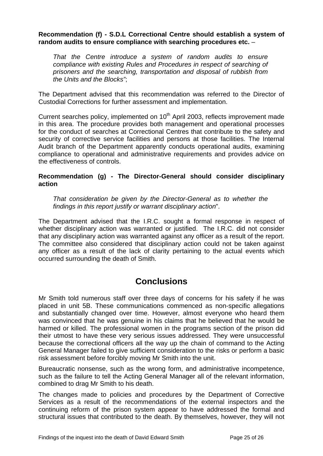#### <span id="page-25-0"></span>**Recommendation (f) - S.D.L Correctional Centre should establish a system of random audits to ensure compliance with searching procedures etc.** –

*That the Centre introduce a system of random audits to ensure compliance with existing Rules and Procedures in respect of searching of prisoners and the searching, transportation and disposal of rubbish from the Units and the Blocks"*;

The Department advised that this recommendation was referred to the Director of Custodial Corrections for further assessment and implementation.

Current searches policy, implemented on 10<sup>th</sup> April 2003, reflects improvement made in this area. The procedure provides both management and operational processes for the conduct of searches at Correctional Centres that contribute to the safety and security of corrective service facilities and persons at those facilities. The Internal Audit branch of the Department apparently conducts operational audits, examining compliance to operational and administrative requirements and provides advice on the effectiveness of controls.

#### **Recommendation (g) - The Director-General should consider disciplinary action**

*That consideration be given by the Director-General as to whether the findings in this report justify or warrant disciplinary action*".

The Department advised that the I.R.C. sought a formal response in respect of whether disciplinary action was warranted or justified. The I.R.C. did not consider that any disciplinary action was warranted against any officer as a result of the report. The committee also considered that disciplinary action could not be taken against any officer as a result of the lack of clarity pertaining to the actual events which occurred surrounding the death of Smith.

# **Conclusions**

Mr Smith told numerous staff over three days of concerns for his safety if he was placed in unit 5B. These communications commenced as non-specific allegations and substantially changed over time. However, almost everyone who heard them was convinced that he was genuine in his claims that he believed that he would be harmed or killed. The professional women in the programs section of the prison did their utmost to have these very serious issues addressed. They were unsuccessful because the correctional officers all the way up the chain of command to the Acting General Manager failed to give sufficient consideration to the risks or perform a basic risk assessment before forcibly moving Mr Smith into the unit.

Bureaucratic nonsense, such as the wrong form, and administrative incompetence, such as the failure to tell the Acting General Manager all of the relevant information, combined to drag Mr Smith to his death.

The changes made to policies and procedures by the Department of Corrective Services as a result of the recommendations of the external inspectors and the continuing reform of the prison system appear to have addressed the formal and structural issues that contributed to the death. By themselves, however, they will not